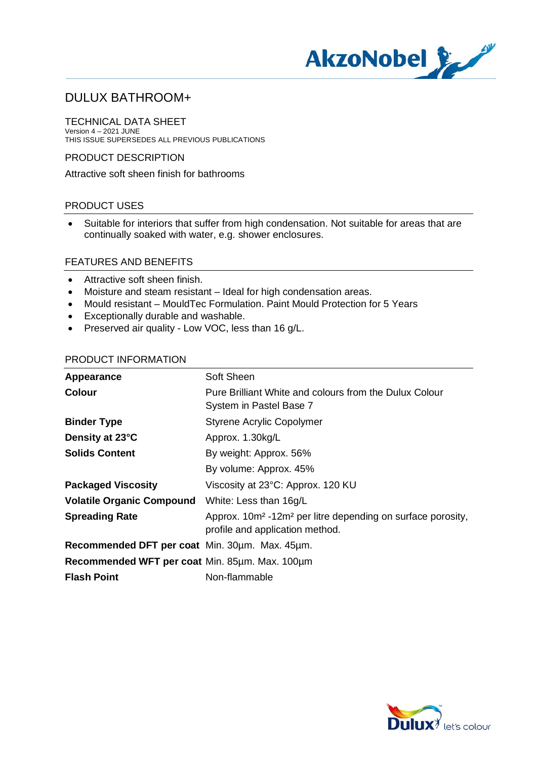

TECHNICAL DATA SHEET Version 4 – 2021 JUNE THIS ISSUE SUPERSEDES ALL PREVIOUS PUBLICATIONS

PRODUCT DESCRIPTION

Attractive soft sheen finish for bathrooms

### PRODUCT USES

· Suitable for interiors that suffer from high condensation. Not suitable for areas that are continually soaked with water, e.g. shower enclosures.

#### FEATURES AND BENEFITS

- · Attractive soft sheen finish.
- · Moisture and steam resistant Ideal for high condensation areas.
- · Mould resistant MouldTec Formulation. Paint Mould Protection for 5 Years
- · Exceptionally durable and washable.
- · Preserved air quality Low VOC, less than 16 g/L.

#### PRODUCT INFORMATION

| Appearance                                     | Soft Sheen                                                                                                             |
|------------------------------------------------|------------------------------------------------------------------------------------------------------------------------|
| Colour                                         | Pure Brilliant White and colours from the Dulux Colour<br>System in Pastel Base 7                                      |
| <b>Binder Type</b>                             | <b>Styrene Acrylic Copolymer</b>                                                                                       |
| Density at 23°C                                | Approx. 1.30kg/L                                                                                                       |
| <b>Solids Content</b>                          | By weight: Approx. 56%                                                                                                 |
|                                                | By volume: Approx. 45%                                                                                                 |
| <b>Packaged Viscosity</b>                      | Viscosity at 23°C: Approx. 120 KU                                                                                      |
| <b>Volatile Organic Compound</b>               | White: Less than 16g/L                                                                                                 |
| <b>Spreading Rate</b>                          | Approx. 10m <sup>2</sup> -12m <sup>2</sup> per litre depending on surface porosity,<br>profile and application method. |
| Recommended DFT per coat Min. 30um. Max. 45um. |                                                                                                                        |
| Recommended WFT per coat Min. 85um. Max. 100um |                                                                                                                        |
| <b>Flash Point</b>                             | Non-flammable                                                                                                          |

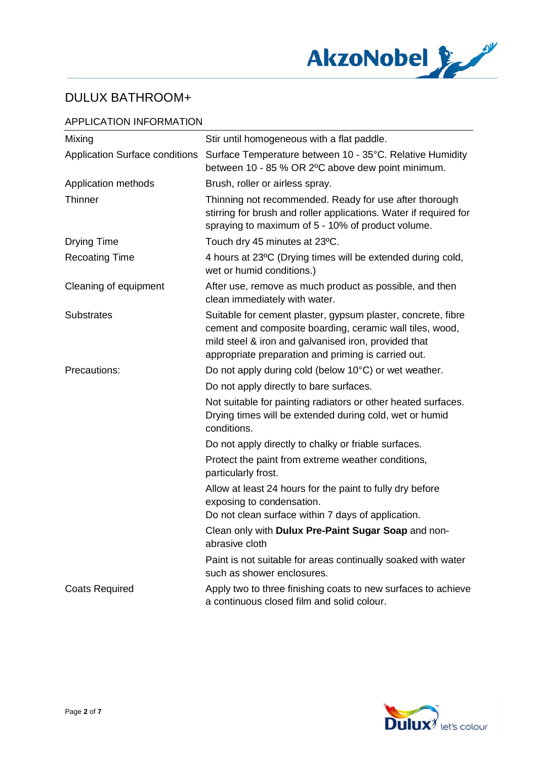

## APPLICATION INFORMATION

| Mixing                                | Stir until homogeneous with a flat paddle.                                                                                                                                                                                              |
|---------------------------------------|-----------------------------------------------------------------------------------------------------------------------------------------------------------------------------------------------------------------------------------------|
| <b>Application Surface conditions</b> | Surface Temperature between 10 - 35°C. Relative Humidity<br>between 10 - 85 % OR 2°C above dew point minimum.                                                                                                                           |
| Application methods                   | Brush, roller or airless spray.                                                                                                                                                                                                         |
| Thinner                               | Thinning not recommended. Ready for use after thorough<br>stirring for brush and roller applications. Water if required for<br>spraying to maximum of 5 - 10% of product volume.                                                        |
| <b>Drying Time</b>                    | Touch dry 45 minutes at 23°C.                                                                                                                                                                                                           |
| <b>Recoating Time</b>                 | 4 hours at 23°C (Drying times will be extended during cold,<br>wet or humid conditions.)                                                                                                                                                |
| Cleaning of equipment                 | After use, remove as much product as possible, and then<br>clean immediately with water.                                                                                                                                                |
| <b>Substrates</b>                     | Suitable for cement plaster, gypsum plaster, concrete, fibre<br>cement and composite boarding, ceramic wall tiles, wood,<br>mild steel & iron and galvanised iron, provided that<br>appropriate preparation and priming is carried out. |
| Precautions:                          | Do not apply during cold (below 10°C) or wet weather.                                                                                                                                                                                   |
|                                       | Do not apply directly to bare surfaces.                                                                                                                                                                                                 |
|                                       | Not suitable for painting radiators or other heated surfaces.<br>Drying times will be extended during cold, wet or humid<br>conditions.                                                                                                 |
|                                       | Do not apply directly to chalky or friable surfaces.                                                                                                                                                                                    |
|                                       | Protect the paint from extreme weather conditions,<br>particularly frost.                                                                                                                                                               |
|                                       | Allow at least 24 hours for the paint to fully dry before<br>exposing to condensation.                                                                                                                                                  |
|                                       | Do not clean surface within 7 days of application.                                                                                                                                                                                      |
|                                       | Clean only with Dulux Pre-Paint Sugar Soap and non-<br>abrasive cloth                                                                                                                                                                   |
|                                       | Paint is not suitable for areas continually soaked with water<br>such as shower enclosures.                                                                                                                                             |
| <b>Coats Required</b>                 | Apply two to three finishing coats to new surfaces to achieve<br>a continuous closed film and solid colour.                                                                                                                             |

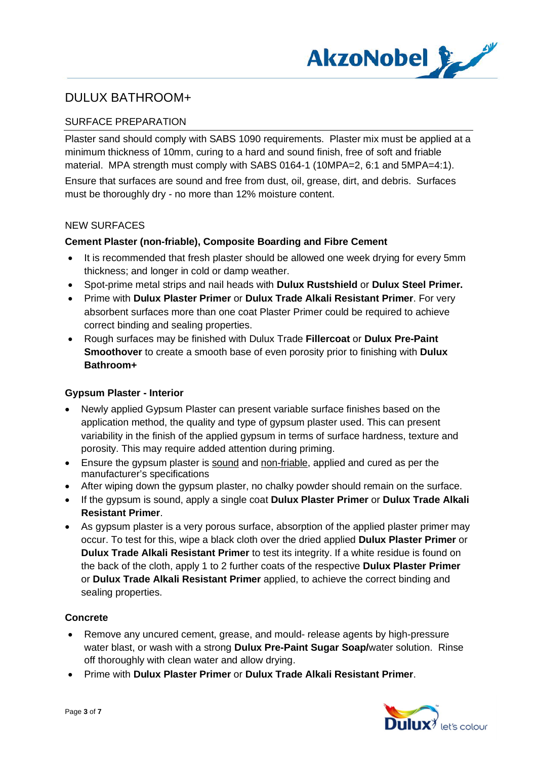

## SURFACE PREPARATION

Plaster sand should comply with SABS 1090 requirements. Plaster mix must be applied at a minimum thickness of 10mm, curing to a hard and sound finish, free of soft and friable material. MPA strength must comply with SABS 0164-1 (10MPA=2, 6:1 and 5MPA=4:1).

Ensure that surfaces are sound and free from dust, oil, grease, dirt, and debris. Surfaces must be thoroughly dry - no more than 12% moisture content.

#### NEW SURFACES

#### **Cement Plaster (non-friable), Composite Boarding and Fibre Cement**

- It is recommended that fresh plaster should be allowed one week drying for every 5mm thickness; and longer in cold or damp weather.
- · Spot-prime metal strips and nail heads with **Dulux Rustshield** or **Dulux Steel Primer.**
- · Prime with **Dulux Plaster Primer** or **Dulux Trade Alkali Resistant Primer**. For very absorbent surfaces more than one coat Plaster Primer could be required to achieve correct binding and sealing properties.
- · Rough surfaces may be finished with Dulux Trade **Fillercoat** or **Dulux Pre-Paint Smoothover** to create a smooth base of even porosity prior to finishing with **Dulux Bathroom+**

### **Gypsum Plaster - Interior**

- · Newly applied Gypsum Plaster can present variable surface finishes based on the application method, the quality and type of gypsum plaster used. This can present variability in the finish of the applied gypsum in terms of surface hardness, texture and porosity. This may require added attention during priming.
- · Ensure the gypsum plaster is sound and non-friable, applied and cured as per the manufacturer's specifications
- After wiping down the gypsum plaster, no chalky powder should remain on the surface.
- · If the gypsum is sound, apply a single coat **Dulux Plaster Primer** or **Dulux Trade Alkali Resistant Primer**.
- · As gypsum plaster is a very porous surface, absorption of the applied plaster primer may occur. To test for this, wipe a black cloth over the dried applied **Dulux Plaster Primer** or **Dulux Trade Alkali Resistant Primer** to test its integrity. If a white residue is found on the back of the cloth, apply 1 to 2 further coats of the respective **Dulux Plaster Primer** or **Dulux Trade Alkali Resistant Primer** applied, to achieve the correct binding and sealing properties.

### **Concrete**

- · Remove any uncured cement, grease, and mould- release agents by high-pressure water blast, or wash with a strong **Dulux Pre-Paint Sugar Soap/**water solution. Rinse off thoroughly with clean water and allow drying.
- · Prime with **Dulux Plaster Primer** or **Dulux Trade Alkali Resistant Primer**.

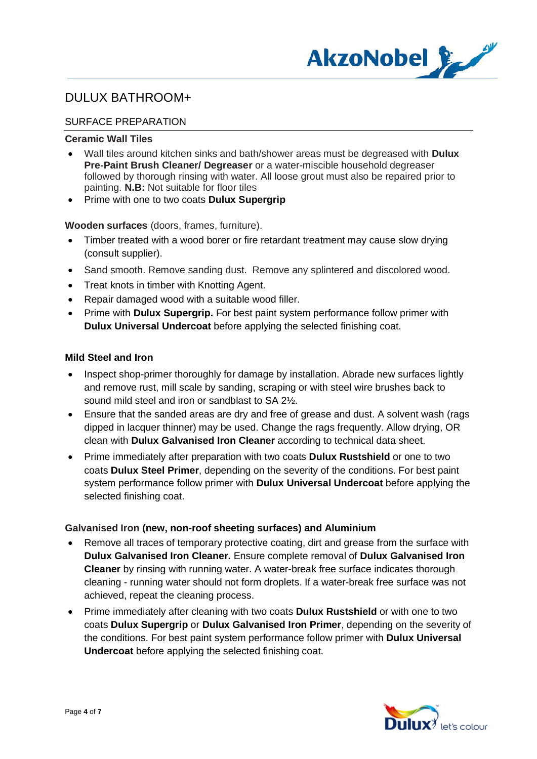

## SURFACE PREPARATION

#### **Ceramic Wall Tiles**

- · Wall tiles around kitchen sinks and bath/shower areas must be degreased with **Dulux Pre-Paint Brush Cleaner/ Degreaser** or a water-miscible household degreaser followed by thorough rinsing with water. All loose grout must also be repaired prior to painting. **N.B:** Not suitable for floor tiles
- · Prime with one to two coats **Dulux Supergrip**

**Wooden surfaces** (doors, frames, furniture).

- · Timber treated with a wood borer or fire retardant treatment may cause slow drying (consult supplier).
- Sand smooth. Remove sanding dust. Remove any splintered and discolored wood.
- · Treat knots in timber with Knotting Agent.
- · Repair damaged wood with a suitable wood filler.
- · Prime with **Dulux Supergrip.** For best paint system performance follow primer with **Dulux Universal Undercoat** before applying the selected finishing coat.

#### **Mild Steel and Iron**

- Inspect shop-primer thoroughly for damage by installation. Abrade new surfaces lightly and remove rust, mill scale by sanding, scraping or with steel wire brushes back to sound mild steel and iron or sandblast to SA 2½.
- Ensure that the sanded areas are dry and free of grease and dust. A solvent wash (rags dipped in lacquer thinner) may be used. Change the rags frequently. Allow drying, OR clean with **Dulux Galvanised Iron Cleaner** according to technical data sheet.
- · Prime immediately after preparation with two coats **Dulux Rustshield** or one to two coats **Dulux Steel Primer**, depending on the severity of the conditions. For best paint system performance follow primer with **Dulux Universal Undercoat** before applying the selected finishing coat.

### **Galvanised Iron (new, non-roof sheeting surfaces) and Aluminium**

- · Remove all traces of temporary protective coating, dirt and grease from the surface with **Dulux Galvanised Iron Cleaner.** Ensure complete removal of **Dulux Galvanised Iron Cleaner** by rinsing with running water. A water-break free surface indicates thorough cleaning - running water should not form droplets. If a water-break free surface was not achieved, repeat the cleaning process.
- · Prime immediately after cleaning with two coats **Dulux Rustshield** or with one to two coats **Dulux Supergrip** or **Dulux Galvanised Iron Primer**, depending on the severity of the conditions. For best paint system performance follow primer with **Dulux Universal Undercoat** before applying the selected finishing coat.

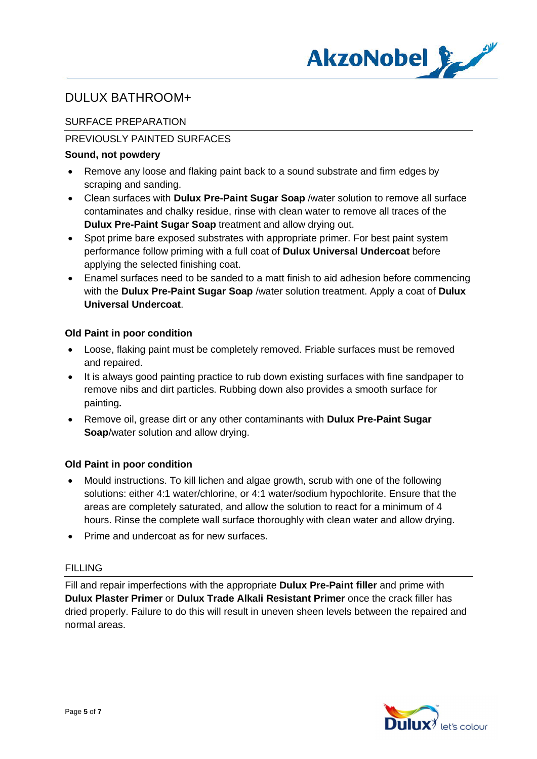

## SURFACE PREPARATION

## PREVIOUSLY PAINTED SURFACES

### **Sound, not powdery**

- · Remove any loose and flaking paint back to a sound substrate and firm edges by scraping and sanding.
- · Clean surfaces with **Dulux Pre-Paint Sugar Soap** /water solution to remove all surface contaminates and chalky residue, rinse with clean water to remove all traces of the **Dulux Pre-Paint Sugar Soap** treatment and allow drying out.
- · Spot prime bare exposed substrates with appropriate primer. For best paint system performance follow priming with a full coat of **Dulux Universal Undercoat** before applying the selected finishing coat.
- · Enamel surfaces need to be sanded to a matt finish to aid adhesion before commencing with the **Dulux Pre-Paint Sugar Soap** /water solution treatment. Apply a coat of **Dulux Universal Undercoat**.

### **Old Paint in poor condition**

- · Loose, flaking paint must be completely removed. Friable surfaces must be removed and repaired.
- · It is always good painting practice to rub down existing surfaces with fine sandpaper to remove nibs and dirt particles. Rubbing down also provides a smooth surface for painting**.**
- · Remove oil, grease dirt or any other contaminants with **Dulux Pre-Paint Sugar Soap**/water solution and allow drying.

## **Old Paint in poor condition**

- · Mould instructions. To kill lichen and algae growth, scrub with one of the following solutions: either 4:1 water/chlorine, or 4:1 water/sodium hypochlorite. Ensure that the areas are completely saturated, and allow the solution to react for a minimum of 4 hours. Rinse the complete wall surface thoroughly with clean water and allow drying.
- · Prime and undercoat as for new surfaces.

### FILLING

Fill and repair imperfections with the appropriate **Dulux Pre-Paint filler** and prime with **Dulux Plaster Primer** or **Dulux Trade Alkali Resistant Primer** once the crack filler has dried properly. Failure to do this will result in uneven sheen levels between the repaired and normal areas.

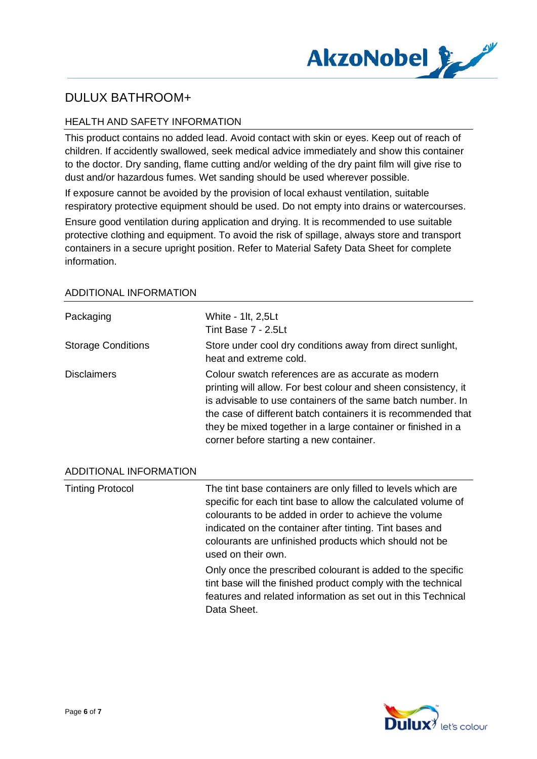

## HEALTH AND SAFETY INFORMATION

This product contains no added lead. Avoid contact with skin or eyes. Keep out of reach of children. If accidently swallowed, seek medical advice immediately and show this container to the doctor. Dry sanding, flame cutting and/or welding of the dry paint film will give rise to dust and/or hazardous fumes. Wet sanding should be used wherever possible.

If exposure cannot be avoided by the provision of local exhaust ventilation, suitable respiratory protective equipment should be used. Do not empty into drains or watercourses.

Ensure good ventilation during application and drying. It is recommended to use suitable protective clothing and equipment. To avoid the risk of spillage, always store and transport containers in a secure upright position. Refer to Material Safety Data Sheet for complete information.

| Packaging                 | White - 1lt, 2,5Lt<br>Tint Base 7 - 2.5Lt                                                                                                                                                                                                                                                                                                                       |
|---------------------------|-----------------------------------------------------------------------------------------------------------------------------------------------------------------------------------------------------------------------------------------------------------------------------------------------------------------------------------------------------------------|
| <b>Storage Conditions</b> | Store under cool dry conditions away from direct sunlight,<br>heat and extreme cold.                                                                                                                                                                                                                                                                            |
| <b>Disclaimers</b>        | Colour swatch references are as accurate as modern<br>printing will allow. For best colour and sheen consistency, it<br>is advisable to use containers of the same batch number. In<br>the case of different batch containers it is recommended that<br>they be mixed together in a large container or finished in a<br>corner before starting a new container. |

#### ADDITIONAL INFORMATION

Tinting Protocol The tint base containers are only filled to levels which are specific for each tint base to allow the calculated volume of colourants to be added in order to achieve the volume indicated on the container after tinting. Tint bases and colourants are unfinished products which should not be used on their own. Only once the prescribed colourant is added to the specific tint base will the finished product comply with the technical features and related information as set out in this Technical Data Sheet.